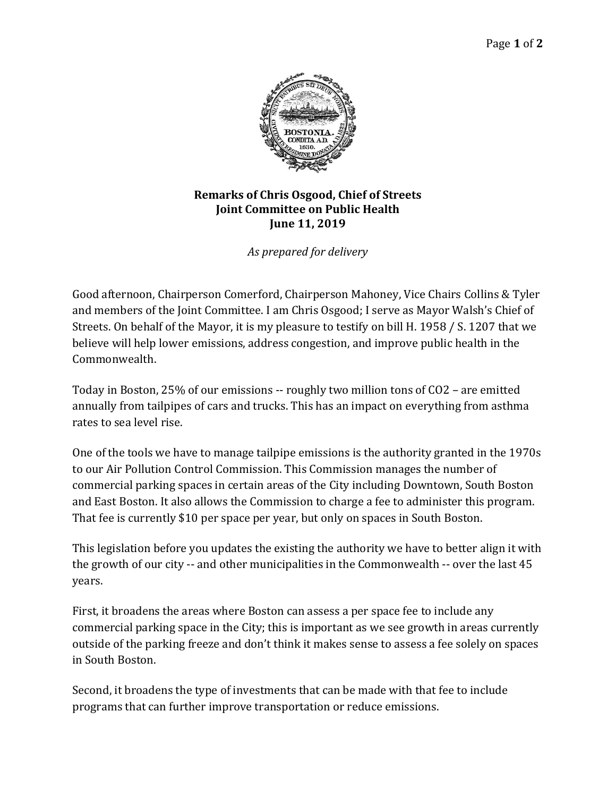

## **Remarks of Chris Osgood, Chief of Streets Joint Committee on Public Health June 11, 2019**

*As prepared for delivery*

Good afternoon, Chairperson Comerford, Chairperson Mahoney, Vice Chairs Collins & Tyler and members of the Joint Committee. I am Chris Osgood; I serve as Mayor Walsh's Chief of Streets. On behalf of the Mayor, it is my pleasure to testify on bill H. 1958 / S. 1207 that we believe will help lower emissions, address congestion, and improve public health in the Commonwealth.

Today in Boston, 25% of our emissions -- roughly two million tons of CO2 – are emitted annually from tailpipes of cars and trucks. This has an impact on everything from asthma rates to sea level rise.

One of the tools we have to manage tailpipe emissions is the authority granted in the 1970s to our Air Pollution Control Commission. This Commission manages the number of commercial parking spaces in certain areas of the City including Downtown, South Boston and East Boston. It also allows the Commission to charge a fee to administer this program. That fee is currently \$10 per space per year, but only on spaces in South Boston.

This legislation before you updates the existing the authority we have to better align it with the growth of our city -- and other municipalities in the Commonwealth -- over the last 45 years.

First, it broadens the areas where Boston can assess a per space fee to include any commercial parking space in the City; this is important as we see growth in areas currently outside of the parking freeze and don't think it makes sense to assess a fee solely on spaces in South Boston.

Second, it broadens the type of investments that can be made with that fee to include programs that can further improve transportation or reduce emissions.